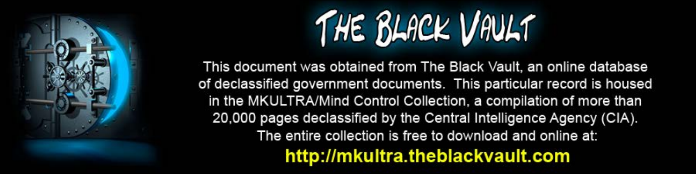

This document was obtained from The Black Vault, an online database of declassified government documents. This particular record is housed in the MKULTRA/Mind Control Collection, a compilation of more than 20,000 pages declassified by the Central Intelligence Agency (CIA). The entire collection is free to download and online at: http://mkultra.theblackvault.com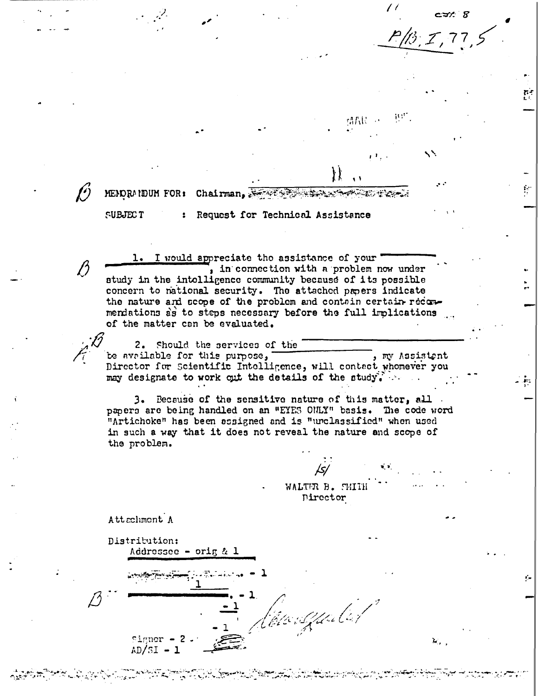朝代に一

MENORANDUM FOR: Chairman.

#### **SUBJECT**

# Request for Technical Assistance

1. I would appreciate tho assistance of your , in connection with a problem now under study in the intolligence community because of its possible concern to national security. The attached proers indicate the nature and scope of the problem and contain certain recommendations as to steps necessary before the full implications of the matter can be evaluated.

2. Should the services of the be available for this purpose, , my Assistent Director for Scientific Intolligence, will contact whomever you may designate to work out the details of the study.

3. Because of the sensitive nature of this matter, all papers are being handled on an "EYES ONLY" basis. The code word "Artichoke" has been assigned and is "unclassified" when used in such a way that it does not reveal the nature and scope of the problem.

> WALTER B. SMITH Director

<u> Ele Spale</u>

Attachment A

Distribution:

Signer  $AD/5I - 1$ 

Addressee - orig  $\alpha$  1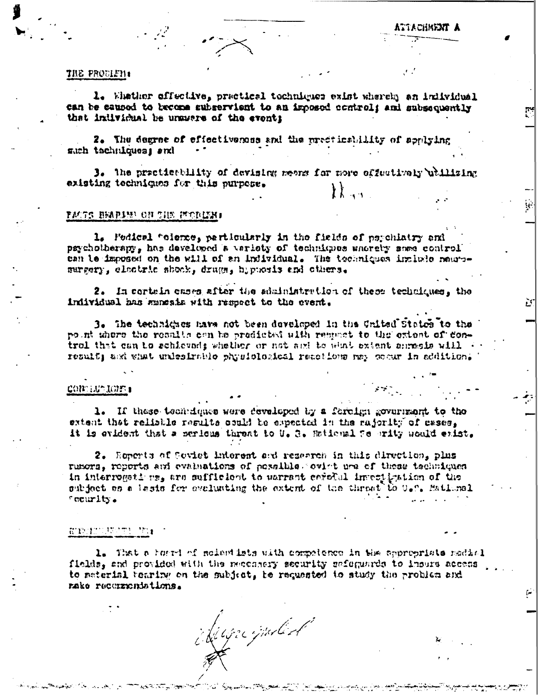### THE PRODIETI:

1. Whather offective, practical techniques exist whereby an individual can be caused to become subservient to an imposed control; and subsequently that individual be unswere of the event;

2. The degree of effectiverses and the precticability of applying much tachniques, and

J. The practicability of devising means for more offsutively whilizing existing techniques for this purpose.

#### **TACTS BEAPLES ON THE MODINE**

1. Fedical telesce, particularly in the fields of psychiatry and psychotherapy, has developed a verioty of techniques uncrety sees control can be imposed on the will of an individual. The techniques include neurosurgery, electric shock, drugs, hipmenis and cthers.

2. In cortain cases after the administration of these techniques, the individual has maneats with respect to the event.

3. The technicates mays not been developed in the United States to the point where the results can be predicted with remanet to the extent of Control that can to schieveds whether or not and to what extent anreals will a result; and what unlesirable physiological reactions may comur in eddition.

#### CONNELL' LUES 1

1. If these teentiques were developed by a foreign government to the extent that reliable results could be expected in the rajority of esses. it is evident that a serious threat to U.S. Embianal 76 arity would exist.

2. Ecperts of Soviet Enterest and research in this direction, plus rumors, reports and evaluations of pessible. ovist use of these techniques in interrogations, are sufficient to warrant corolal investigation of the subject on a lasis for evaluating the extent of the threat to U.S. Batlinal fecurity.

## WINDOWSTERN

1. That a horri of moissided with compotence in the appropriate modial fields, and provided with the neccasery security safeguards to insurs access to material bearing on the subject, to requested to study the problem and rake recurrentations.

Mignipuled

فتارية فيتمتز بالدائمة والموالية أأنما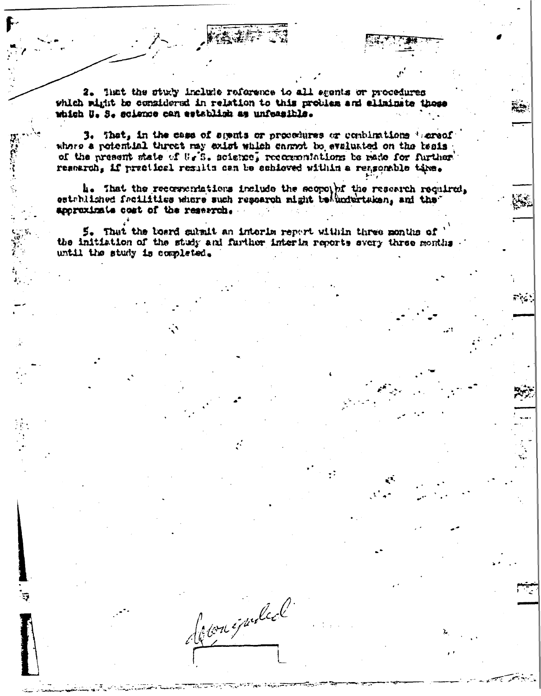2. That the study include reference to all seents or procedures which wight be considered in relation to this problem and eliminate those which U. S. science can establish as unfeasible.

3. That, in the case of sments or procedures or combinations 'sareof where a potential threet may exist which carryt be evaluated on the beais of the present state of U.S. science, recommendations be made for further reserch, if practical results can be schieved within a reasonable time.

4. That the recorrentations include the scope hf the research required, established facilities where such research might beaucortaken, and the approximate cost of the reservoh.

5. That the loard submit an interim report within three months of the initiation of the study and further interim reports every three months until the study is completed.

Jour épouled.